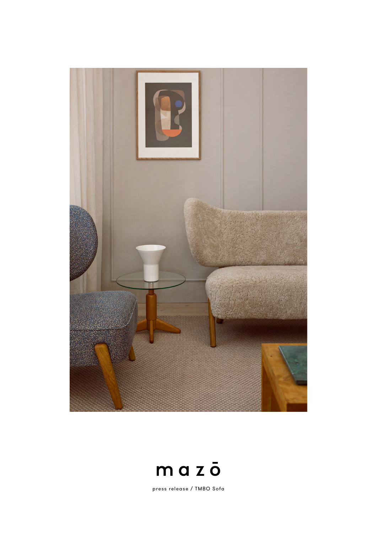



press release / TMBO Sofa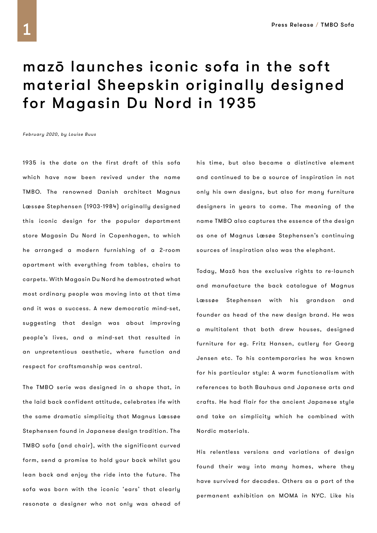## mazō launches iconic sofa in the soft material Sheepskin originally designed for Magasin Du Nord in 1935

February 2020, by Louise Buus

1935 is the date on the first draft of this sofa which have now been revived under the name TMBO. The renowned Danish architect Magnus Læssøe Stephensen (1903-1984) originally designed this iconic design for the popular department store Magasin Du Nord in Copenhagen, to which he arranged a modern furnishing of a 2-room apartment with everything from tables, chairs to carpets. With Magasin Du Nord he demostrated what most ordinary people was moving into at that time and it was a success. A new democratic mind-set, suggesting that design was about improving people's lives, and a mind-set that resulted in an unpretentious aesthetic, where function and respect for craftsmanship was central.

The TMBO serie was designed in a shape that, in the laid back confident attitude, celebrates ife with the same dramatic simplicity that Magnus Læssøe Stephensen found in Japanese design tradition. The TMBO sofa (and chair), with the significant curved form, send a promise to hold your back whilst you lean back and enjoy the ride into the future. The sofa was born with the iconic 'ears' that clearly resonate a designer who not only was ahead of

his time, but also became a distinctive element and continued to be a source of inspiration in not only his own designs, but also for many furniture designers in years to come. The meaning of the name TMBO also captures the essence of the design as one of Magnus Læsøe Stephensen's continuing sources of inspiration also was the elephant.

Today, Mazō has the exclusive rights to re-launch and manufacture the back catalogue of Magnus Læssøe Stephensen with his grandson and founder as head of the new design brand. He was a multitalent that both drew houses, designed furniture for eg. Fritz Hansen, cutlery for Georg Jensen etc. To his contemporaries he was known for his particular style: A warm functionalism with references to both Bauhaus and Japanese arts and crafts. He had flair for the ancient Japanese style and take on simplicity which he combined with Nordic materials.

His relentless versions and variations of design found their way into many homes, where they have survived for decades. Others as a part of the permanent exhibition on MOMA in NYC. Like his